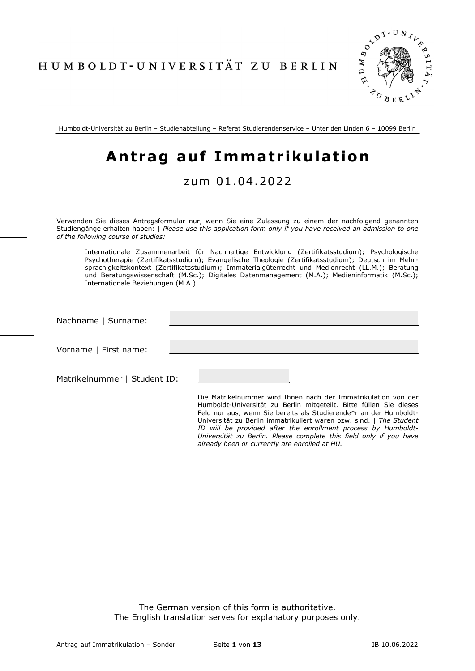HUMBOLDT-UNIVERSITÄT ZU BERLIN



Humboldt-Universität zu Berlin – Studienabteilung – Referat Studierendenservice – Unter den Linden 6 – 10099 Berlin

# **Antrag auf Immatrikulation**

## zum 01 .04.2022

Verwenden Sie dieses Antragsformular nur, wenn Sie eine Zulassung zu einem der nachfolgend genannten Studiengänge erhalten haben: | *Please use this application form only if you have received an admission to one of the following course of studies:*

Internationale Zusammenarbeit für Nachhaltige Entwicklung (Zertifikatsstudium); Psychologische Psychotherapie (Zertifikatsstudium); Evangelische Theologie (Zertifikatsstudium); Deutsch im Mehrsprachigkeitskontext (Zertifikatsstudium); Immaterialgüterrecht und Medienrecht (LL.M.); Beratung und Beratungswissenschaft (M.Sc.); Digitales Datenmanagement (M.A.); Medieninformatik (M.Sc.); Internationale Beziehungen (M.A.)

| Nachname   Surname:          |                                                                                                                                      |
|------------------------------|--------------------------------------------------------------------------------------------------------------------------------------|
| Vorname   First name:        |                                                                                                                                      |
| Matrikelnummer   Student ID: |                                                                                                                                      |
|                              | Die Matrikelnummer wird Ihnen nach der Immatrikulation von der<br>Humboldt-Universität zu Berlin mitaeteilt. Bitte füllen Sie dieses |

Humboldt-Universität zu Berlin mitgeteilt. Bitte füllen Sie dieses Feld nur aus, wenn Sie bereits als Studierende\*r an der Humboldt-Universität zu Berlin immatrikuliert waren bzw. sind. | *The Student ID will be provided after the enrollment process by Humboldt-Universität zu Berlin. Please complete this field only if you have already been or currently are enrolled at HU.*

The German version of this form is authoritative. The English translation serves for explanatory purposes only.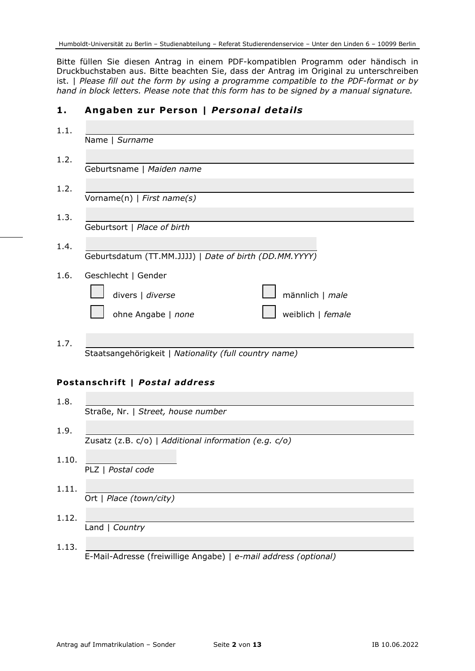Bitte füllen Sie diesen Antrag in einem PDF-kompatiblen Programm oder händisch in Druckbuchstaben aus. Bitte beachten Sie, dass der Antrag im Original zu unterschreiben ist. | *Please fill out the form by using a programme compatible to the PDF-format or by hand in block letters. Please note that this form has to be signed by a manual signature.*

## **1. Angaben zur Person |** *Personal details*

| 1.1.  |                                                        |
|-------|--------------------------------------------------------|
|       | Name   Surname                                         |
| 1.2.  | Geburtsname   Maiden name                              |
| 1.2.  | $\overline{\text{Vorname}(n)  }$ First name(s)         |
| 1.3.  |                                                        |
|       | Geburtsort   Place of birth                            |
| 1.4.  | Geburtsdatum (TT.MM.JJJJ)   Date of birth (DD.MM.YYYY) |
| 1.6.  | Geschlecht   Gender                                    |
|       | divers   diverse<br>männlich   male                    |
|       | ohne Angabe   none<br>weiblich   female                |
| 1.7.  |                                                        |
|       | Staatsangehörigkeit   Nationality (full country name)  |
|       | Postanschrift   Postal address                         |
| 1.8.  |                                                        |
|       | Straße, Nr.   Street, house number                     |
| 1.9.  | Zusatz (z.B. c/o)   Additional information (e.g. c/o)  |
| 1.10. | PLZ   Postal code                                      |
|       |                                                        |
| 1.11. | Ort   Place (town/city)                                |
| 1.12. | Land   Country                                         |

1.13. E-Mail-Adresse (freiwillige Angabe) | *e-mail address (optional)*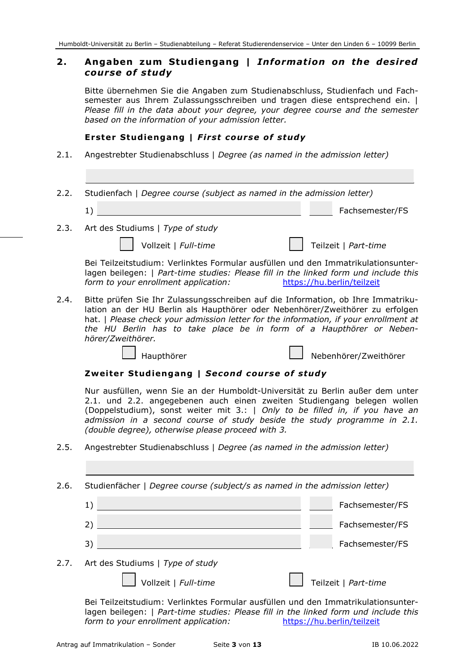## **2. Angaben zum Studiengang |** *Information on the desired course of study*

Bitte übernehmen Sie die Angaben zum Studienabschluss, Studienfach und Fachsemester aus Ihrem Zulassungsschreiben und tragen diese entsprechend ein. | *Please fill in the data about your degree, your degree course and the semester based on the information of your admission letter.*

#### **Erster Studiengang |** *First course of study*

- 2.1. Angestrebter Studienabschluss | *Degree (as named in the admission letter)*
- 2.2. Studienfach | *Degree course (subject as named in the admission letter)*
	- 1) Fachsemester/FS
- 2.3. Art des Studiums | *Type of study*

Vollzeit | *Full-time*  $\vert$  | Teilzeit | *Part-time* 

Bei Teilzeitstudium: Verlinktes Formular ausfüllen und den Immatrikulationsunterlagen beilegen: | *Part-time studies: Please fill in the linked form und include this form to your enrollment application:* https://hu.berlin/teilzeit

2.4. Bitte prüfen Sie Ihr Zulassungsschreiben auf die Information, ob Ihre Immatrikulation an der HU Berlin als Haupthörer oder Nebenhörer/Zweithörer zu erfolgen hat. *I Please check your admission letter for the information, if your enrollment at the HU Berlin has to take place be in form of a Haupthörer or Nebenhörer/Zweithörer.*

Haupthörer Nebenhörer/Zweithörer

#### **Zweiter Studiengang |** *Second course of study*

Nur ausfüllen, wenn Sie an der Humboldt-Universität zu Berlin außer dem unter 2.1. und 2.2. angegebenen auch einen zweiten Studiengang belegen wollen (Doppelstudium), sonst weiter mit 3.: | *Only to be filled in, if you have an admission in a second course of study beside the study programme in 2.1. (double degree), otherwise please proceed with 3.*

2.5. Angestrebter Studienabschluss | *Degree (as named in the admission letter)*

2.6. Studienfächer | *Degree course (subject/s as named in the admission letter)*

- 1) Fachsemester/FS 2) Fachsemester/FS
- 3) Fachsemester/FS
- 2.7. Art des Studiums | *Type of study*

Vollzeit | *Full-time* Teilzeit | *Part-time* 

Bei Teilzeitstudium: Verlinktes Formular ausfüllen und den Immatrikulationsunterlagen beilegen: | *Part-time studies: Please fill in the linked form und include this form to your enrollment application:* https://hu.berlin/teilzeit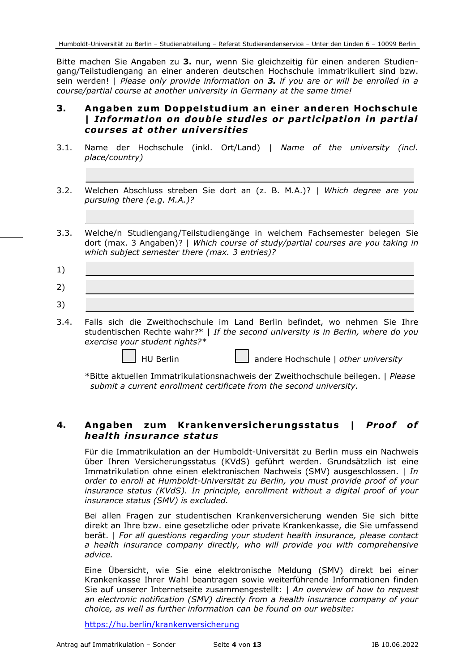Bitte machen Sie Angaben zu **3.** nur, wenn Sie gleichzeitig für einen anderen Studiengang/Teilstudiengang an einer anderen deutschen Hochschule immatrikuliert sind bzw. sein werden! | *Please only provide information on 3. if you are or will be enrolled in a course/partial course at another university in Germany at the same time!*

## **3. Angaben zum Doppelstudium an einer anderen Hochschule |** *Information on double studies or participation in partial courses at other universities*

- 3.1. Name der Hochschule (inkl. Ort/Land) | *Name of the university (incl. place/country)*
- 3.2. Welchen Abschluss streben Sie dort an (z. B. M.A.)? | *Which degree are you pursuing there (e.g. M.A.)?*
- 3.3. Welche/n Studiengang/Teilstudiengänge in welchem Fachsemester belegen Sie dort (max. 3 Angaben)? | *Which course of study/partial courses are you taking in which subject semester there (max. 3 entries)?*

| 1) |  |                                                                                 |  |  |  |  |
|----|--|---------------------------------------------------------------------------------|--|--|--|--|
| 2) |  |                                                                                 |  |  |  |  |
| 3) |  |                                                                                 |  |  |  |  |
|    |  | 3.4. Falls sich die Zweithochschule im Land Berlin befindet, wo nehmen Sie Ihre |  |  |  |  |

3.4. Falls sich die Zweithochschule im Land Berlin befindet, wo nehmen Sie Ihre studentischen Rechte wahr?\* | *If the second university is in Berlin, where do you exercise your student rights?\**

HU Berlin andere Hochschule | *other university*

\*Bitte aktuellen Immatrikulationsnachweis der Zweithochschule beilegen. | *Please submit a current enrollment certificate from the second university.*

## **4. Angaben zum Krankenversicherungsstatus |** *Proof of health insurance status*

Für die Immatrikulation an der Humboldt-Universität zu Berlin muss ein Nachweis über Ihren Versicherungsstatus (KVdS) geführt werden. Grundsätzlich ist eine Immatrikulation ohne einen elektronischen Nachweis (SMV) ausgeschlossen. | *In order to enroll at Humboldt-Universität zu Berlin, you must provide proof of your insurance status (KVdS). In principle, enrollment without a digital proof of your insurance status (SMV) is excluded.*

Bei allen Fragen zur studentischen Krankenversicherung wenden Sie sich bitte direkt an Ihre bzw. eine gesetzliche oder private Krankenkasse, die Sie umfassend berät. | *For all questions regarding your student health insurance, please contact a health insurance company directly, who will provide you with comprehensive advice.*

Eine Übersicht, wie Sie eine elektronische Meldung (SMV) direkt bei einer Krankenkasse Ihrer Wahl beantragen sowie weiterführende Informationen finden Sie auf unserer Internetseite zusammengestellt: | *An overview of how to request an electronic notification (SMV) directly from a health insurance company of your choice, as well as further information can be found on our website:*

https://hu.berlin/krankenversicherung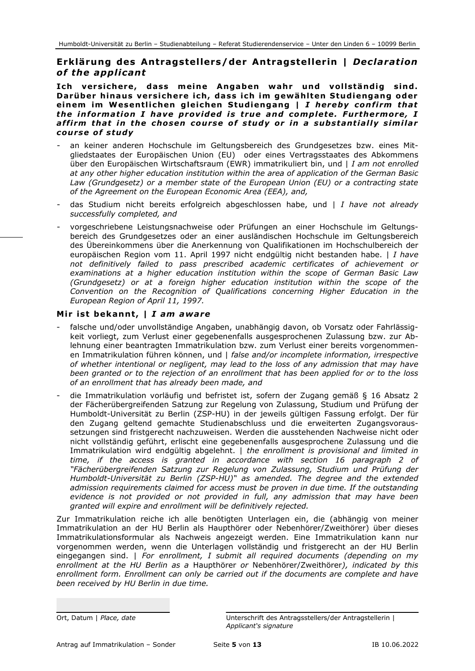## **Erklärung des Antragstellers/der Antragstellerin |** *Declaration of the applicant*

**Ich versichere, dass meine Angaben wahr und vollständig sind. Darüber hinaus versichere ich, dass ich im gewählten Studiengang oder einem im Wesentlichen gleichen Studiengang |** *I hereby confirm that the information I have provided is true and complete. Furthermore, I affirm that in the chosen course of study or in a substantially similar course of study*

- an keiner anderen Hochschule im Geltungsbereich des Grundgesetzes bzw. eines Mitgliedstaates der Europäischen Union (EU) oder eines Vertragsstaates des Abkommens über den Europäischen Wirtschaftsraum (EWR) immatrikuliert bin, und | *I am not enrolled at any other higher education institution within the area of application of the German Basic Law (Grundgesetz) or a member state of the European Union (EU) or a contracting state of the Agreement on the European Economic Area (EEA), and,*
- das Studium nicht bereits erfolgreich abgeschlossen habe, und | *I have not already successfully completed, and*
- vorgeschriebene Leistungsnachweise oder Prüfungen an einer Hochschule im Geltungsbereich des Grundgesetzes oder an einer ausländischen Hochschule im Geltungsbereich des Übereinkommens über die Anerkennung von Qualifikationen im Hochschulbereich der europäischen Region vom 11. April 1997 nicht endgültig nicht bestanden habe. | *I have not definitively failed to pass prescribed academic certificates of achievement or examinations at a higher education institution within the scope of German Basic Law (Grundgesetz) or at a foreign higher education institution within the scope of the Convention on the Recognition of Qualifications concerning Higher Education in the European Region of April 11, 1997.*

#### **Mir ist bekannt, |** *I am aware*

- falsche und/oder unvollständige Angaben, unabhängig davon, ob Vorsatz oder Fahrlässigkeit vorliegt, zum Verlust einer gegebenenfalls ausgesprochenen Zulassung bzw. zur Ablehnung einer beantragten Immatrikulation bzw. zum Verlust einer bereits vorgenommenen Immatrikulation führen können, und | *false and/or incomplete information, irrespective of whether intentional or negligent, may lead to the loss of any admission that may have been granted or to the rejection of an enrollment that has been applied for or to the loss of an enrollment that has already been made, and*
- die Immatrikulation vorläufig und befristet ist, sofern der Zugang gemäß § 16 Absatz 2 der Fächerübergreifenden Satzung zur Regelung von Zulassung, Studium und Prüfung der Humboldt-Universität zu Berlin (ZSP-HU) in der jeweils gültigen Fassung erfolgt. Der für den Zugang geltend gemachte Studienabschluss und die erweiterten Zugangsvoraussetzungen sind fristgerecht nachzuweisen. Werden die ausstehenden Nachweise nicht oder nicht vollständig geführt, erlischt eine gegebenenfalls ausgesprochene Zulassung und die Immatrikulation wird endgültig abgelehnt. | *the enrollment is provisional and limited in time, if the access is granted in accordance with section 16 paragraph 2 of "Fächerübergreifenden Satzung zur Regelung von Zulassung, Studium und Prüfung der Humboldt-Universität zu Berlin (ZSP-HU)" as amended. The degree and the extended admission requirements claimed for access must be proven in due time. If the outstanding evidence is not provided or not provided in full, any admission that may have been granted will expire and enrollment will be definitively rejected.*

Zur Immatrikulation reiche ich alle benötigten Unterlagen ein, die (abhängig von meiner Immatrikulation an der HU Berlin als Haupthörer oder Nebenhörer/Zweithörer) über dieses Immatrikulationsformular als Nachweis angezeigt werden. Eine Immatrikulation kann nur vorgenommen werden, wenn die Unterlagen vollständig und fristgerecht an der HU Berlin eingegangen sind. | *For enrollment, I submit all required documents (depending on my enrollment at the HU Berlin as a* Haupthörer *or* Nebenhörer/Zweithörer*), indicated by this enrollment form. Enrollment can only be carried out if the documents are complete and have been received by HU Berlin in due time.*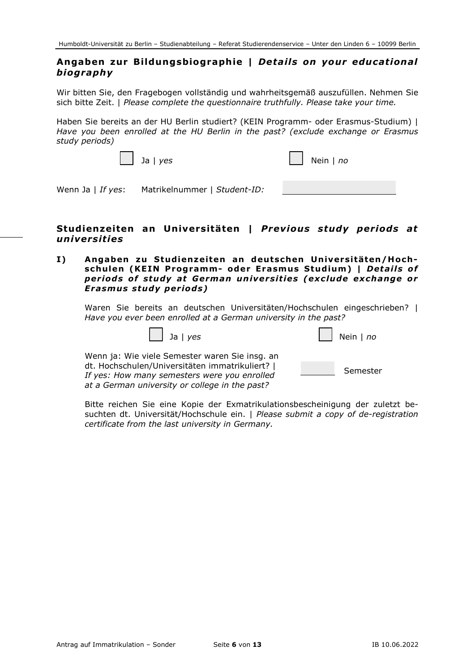## **Angaben zur Bildungsbiographie |** *Details on your educational biography*

Wir bitten Sie, den Fragebogen vollständig und wahrheitsgemäß auszufüllen. Nehmen Sie sich bitte Zeit. | *Please complete the questionnaire truthfully. Please take your time.*

Haben Sie bereits an der HU Berlin studiert? (KEIN Programm- oder Erasmus-Studium) | *Have you been enrolled at the HU Berlin in the past? (exclude exchange or Erasmus study periods)*

| $\vert$ $\vert$ Ja $\vert$ yes                 | $\Box$ Nein   no |
|------------------------------------------------|------------------|
| Wenn Ja   If yes: Matrikelnummer   Student-ID: |                  |

## **Studienzeiten an Universitäten |** *Previous study periods at universities*

**I) Angaben zu Studienzeiten an deutschen Universitäten/Hochschulen (KEIN Programm- oder Erasmus Studium) |** *Details of periods of study at German universities (exclude exchange or Erasmus study periods)*

Waren Sie bereits an deutschen Universitäten/Hochschulen eingeschrieben? | *Have you ever been enrolled at a German university in the past?*

|  | <u>، ۱</u><br>╼ |
|--|-----------------|
|  |                 |

|  | Nein $ $ no |  |
|--|-------------|--|
|--|-------------|--|

Wenn ja: Wie viele Semester waren Sie insg. an dt. Hochschulen/Universitäten immatrikuliert? | *If yes: How many semesters were you enrolled at a German university or college in the past?*

Semester

Bitte reichen Sie eine Kopie der Exmatrikulationsbescheinigung der zuletzt besuchten dt. Universität/Hochschule ein. | *Please submit a copy of de-registration certificate from the last university in Germany.*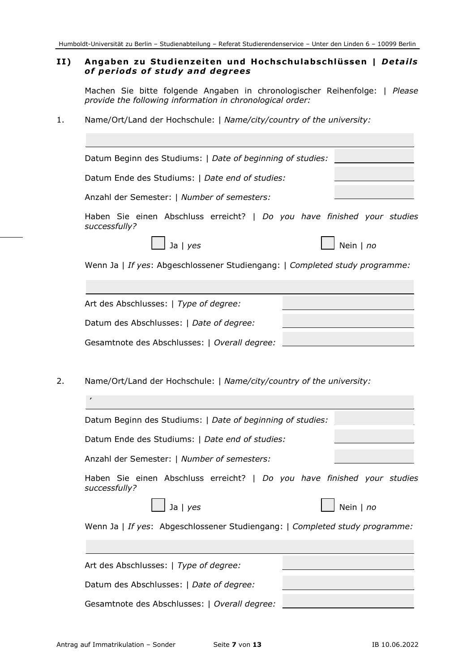#### **II) Angaben zu Studienzeiten und Hochschulabschlüssen |** *Details of periods of study and degrees*

Machen Sie bitte folgende Angaben in chronologischer Reihenfolge: | *Please provide the following information in chronological order:*

1. Name/Ort/Land der Hochschule: | *Name/city/country of the university:*

|               | Datum Beginn des Studiums:   Date of beginning of studies:                  |  |           |  |
|---------------|-----------------------------------------------------------------------------|--|-----------|--|
|               | Datum Ende des Studiums:   Date end of studies:                             |  |           |  |
|               | Anzahl der Semester:   Number of semesters:                                 |  |           |  |
| successfully? | Haben Sie einen Abschluss erreicht?   Do you have finished your studies     |  |           |  |
|               | Ja   $yes$                                                                  |  | Nein   no |  |
|               | Wenn Ja   If yes: Abgeschlossener Studiengang:   Completed study programme: |  |           |  |
|               |                                                                             |  |           |  |
|               | Art des Abschlusses:   Type of degree:                                      |  |           |  |
|               | Datum des Abschlusses:   Date of degree:                                    |  |           |  |
|               | Gesamtnote des Abschlusses:   Overall degree:                               |  |           |  |
|               | Name/Ort/Land der Hochschule:   Name/city/country of the university:        |  |           |  |
|               |                                                                             |  |           |  |
|               | Datum Beginn des Studiums:   Date of beginning of studies:                  |  |           |  |
|               | Datum Ende des Studiums:   Date end of studies:                             |  |           |  |
|               | Anzahl der Semester:   Number of semesters:                                 |  |           |  |
| successfully? | Haben Sie einen Abschluss erreicht?   Do you have finished your studies     |  |           |  |
|               | Ja   yes                                                                    |  | Nein   no |  |
|               | Wenn Ja   If yes: Abgeschlossener Studiengang:   Completed study programme: |  |           |  |
|               |                                                                             |  |           |  |
|               | Art des Abschlusses:   Type of degree:                                      |  |           |  |
|               | Datum des Abschlusses:   Date of degree:                                    |  |           |  |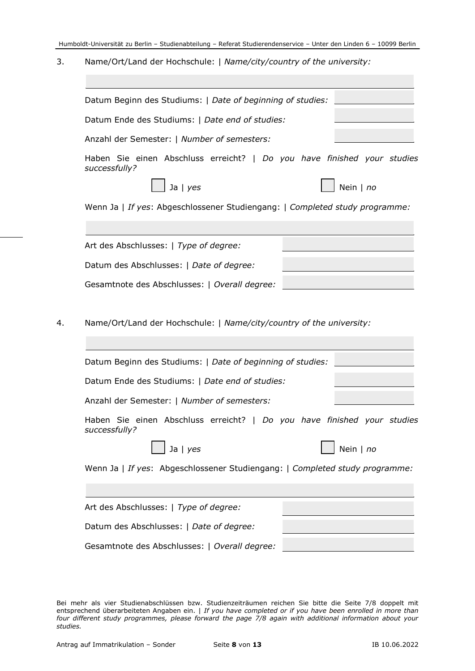3. Name/Ort/Land der Hochschule: | *Name/city/country of the university:*

| Datum Beginn des Studiums:   Date of beginning of studies:                                                            |           |
|-----------------------------------------------------------------------------------------------------------------------|-----------|
| Datum Ende des Studiums:   Date end of studies:                                                                       |           |
| Anzahl der Semester:   Number of semesters:                                                                           |           |
| Haben Sie einen Abschluss erreicht?   Do you have finished your studies<br>successfully?                              |           |
| Ja $ $ yes                                                                                                            | Nein   no |
| Wenn Ja   If yes: Abgeschlossener Studiengang:   Completed study programme:                                           |           |
|                                                                                                                       |           |
| Art des Abschlusses:   Type of degree:                                                                                |           |
| Datum des Abschlusses:   Date of degree:                                                                              |           |
|                                                                                                                       |           |
| Gesamtnote des Abschlusses:   Overall degree:<br>Name/Ort/Land der Hochschule:   Name/city/country of the university: |           |
|                                                                                                                       |           |
| Datum Beginn des Studiums:   Date of beginning of studies:<br>Datum Ende des Studiums:   Date end of studies:         |           |
| Anzahl der Semester:   Number of semesters:                                                                           |           |
| Haben Sie einen Abschluss erreicht?   Do you have finished your studies<br>successfully?                              |           |
| Ja   yes                                                                                                              | Nein   no |
| Wenn Ja   If yes: Abgeschlossener Studiengang:   Completed study programme:                                           |           |
|                                                                                                                       |           |
| Art des Abschlusses:   Type of degree:                                                                                |           |
| Datum des Abschlusses:   Date of degree:                                                                              |           |

Bei mehr als vier Studienabschlüssen bzw. Studienzeiträumen reichen Sie bitte die Seite 7/8 doppelt mit entsprechend überarbeiteten Angaben ein. | *If you have completed or if you have been enrolled in more than four different study programmes, please forward the page 7/8 again with additional information about your studies.*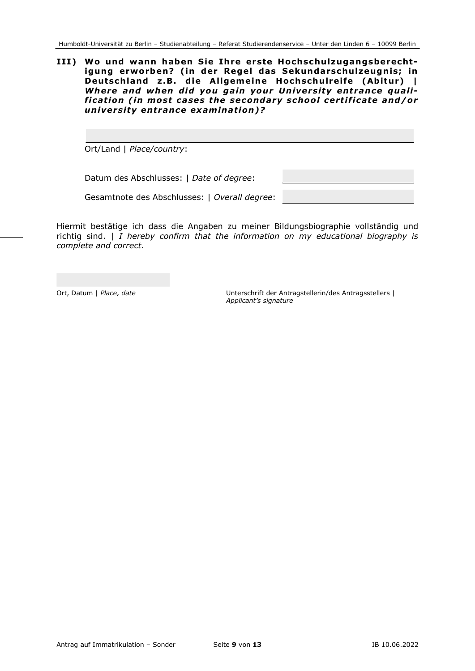#### **III) Wo und wann haben Sie Ihre erste Hochschulzugangsberechtigung erworben? (in der Regel das Sekundarschulzeugnis; in Deutschland z.B. die Allgemeine Hochschulreife (Abitur) |** *Where and when did you gain your University entrance qualification (in most cases the secondary school certificate and/or university entrance examination)?*

Ort/Land | *Place/country*:

Datum des Abschlusses: | *Date of degree*:

Gesamtnote des Abschlusses: | *Overall degree*:

Hiermit bestätige ich dass die Angaben zu meiner Bildungsbiographie vollständig und richtig sind. | *I hereby confirm that the information on my educational biography is complete and correct.* 

Ort, Datum | *Place, date* Unterschrift der Antragstellerin/des Antragsstellers | *Applicant's signature*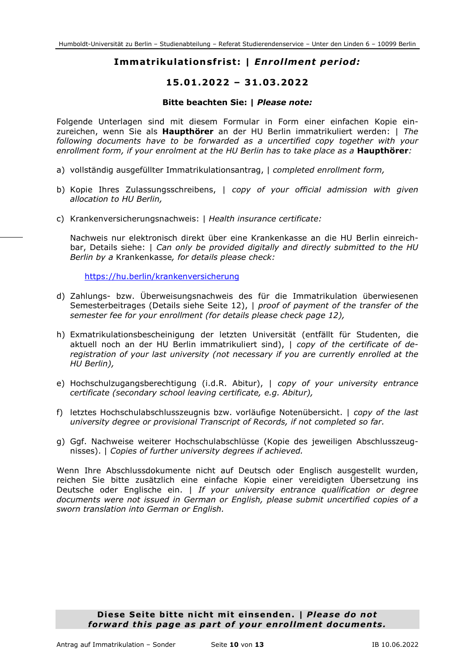## **Immatrikulationsfrist: |** *Enrollment period:*

## **15.01.2022 – 31.03.2022**

#### **Bitte beachten Sie: |** *Please note:*

Folgende Unterlagen sind mit diesem Formular in Form einer einfachen Kopie einzureichen, wenn Sie als **Haupthörer** an der HU Berlin immatrikuliert werden: | *The following documents have to be forwarded as a uncertified copy together with your enrollment form, if your enrolment at the HU Berlin has to take place as a* **Haupthörer***:*

- a) vollständig ausgefüllter Immatrikulationsantrag, | *completed enrollment form,*
- b) Kopie Ihres Zulassungsschreibens, | *copy of your official admission with given allocation to HU Berlin,*
- c) Krankenversicherungsnachweis: | *Health insurance certificate:*

Nachweis nur elektronisch direkt über eine Krankenkasse an die HU Berlin einreichbar, Details siehe: | *Can only be provided digitally and directly submitted to the HU Berlin by a* Krankenkasse*, for details please check:*

<https://hu.berlin/krankenversicherung>

- d) Zahlungs- bzw. Überweisungsnachweis des für die Immatrikulation überwiesenen Semesterbeitrages (Details siehe Seite 12), | *proof of payment of the transfer of the semester fee for your enrollment (for details please check page 12),*
- h) Exmatrikulationsbescheinigung der letzten Universität (entfällt für Studenten, die aktuell noch an der HU Berlin immatrikuliert sind), | *copy of the certificate of deregistration of your last university (not necessary if you are currently enrolled at the HU Berlin),*
- e) Hochschulzugangsberechtigung (i.d.R. Abitur), | *copy of your university entrance certificate (secondary school leaving certificate, e.g. Abitur),*
- f) letztes Hochschulabschlusszeugnis bzw. vorläufige Notenübersicht. | *copy of the last university degree or provisional Transcript of Records, if not completed so far.*
- g) Ggf. Nachweise weiterer Hochschulabschlüsse (Kopie des jeweiligen Abschlusszeugnisses). | *Copies of further university degrees if achieved.*

Wenn Ihre Abschlussdokumente nicht auf Deutsch oder Englisch ausgestellt wurden, reichen Sie bitte zusätzlich eine einfache Kopie einer vereidigten Übersetzung ins Deutsche oder Englische ein. | *If your university entrance qualification or degree documents were not issued in German or English, please submit uncertified copies of a sworn translation into German or English.*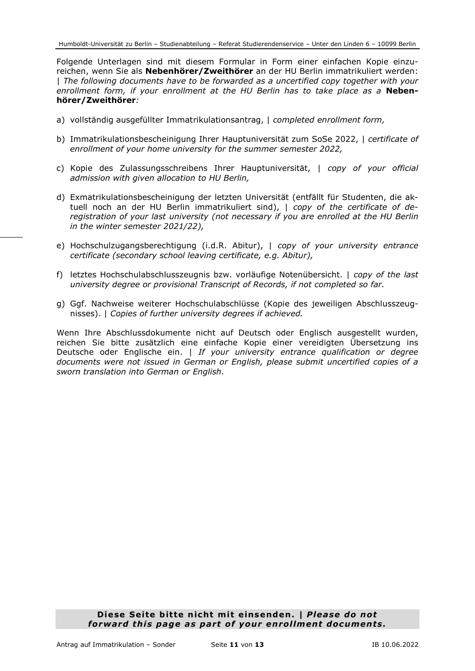Folgende Unterlagen sind mit diesem Formular in Form einer einfachen Kopie einzureichen, wenn Sie als **Nebenhörer/Zweithörer** an der HU Berlin immatrikuliert werden: | *The following documents have to be forwarded as a uncertified copy together with your enrollment form, if your enrollment at the HU Berlin has to take place as a* **Nebenhörer/Zweithörer***:* 

- a) vollständig ausgefüllter Immatrikulationsantrag, | *completed enrollment form,*
- b) Immatrikulationsbescheinigung Ihrer Hauptuniversität zum SoSe 2022, | *certificate of enrollment of your home university for the summer semester 2022,*
- c) Kopie des Zulassungsschreibens Ihrer Hauptuniversität, | *copy of your official admission with given allocation to HU Berlin,*
- d) Exmatrikulationsbescheinigung der letzten Universität (entfällt für Studenten, die aktuell noch an der HU Berlin immatrikuliert sind), | *copy of the certificate of deregistration of your last university (not necessary if you are enrolled at the HU Berlin in the winter semester 2021/22),*
- e) Hochschulzugangsberechtigung (i.d.R. Abitur), | *copy of your university entrance certificate (secondary school leaving certificate, e.g. Abitur),*
- f) letztes Hochschulabschlusszeugnis bzw. vorläufige Notenübersicht. | *copy of the last university degree or provisional Transcript of Records, if not completed so far.*
- g) Ggf. Nachweise weiterer Hochschulabschlüsse (Kopie des jeweiligen Abschlusszeugnisses). | *Copies of further university degrees if achieved.*

Wenn Ihre Abschlussdokumente nicht auf Deutsch oder Englisch ausgestellt wurden, reichen Sie bitte zusätzlich eine einfache Kopie einer vereidigten Übersetzung ins Deutsche oder Englische ein. | *If your university entrance qualification or degree documents were not issued in German or English, please submit uncertified copies of a sworn translation into German or English.*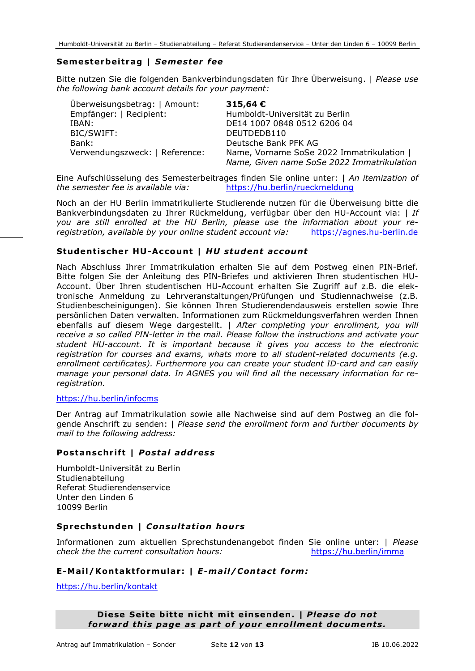## **Semesterbeitrag |** *Semester fee*

Bitte nutzen Sie die folgenden Bankverbindungsdaten für Ihre Überweisung. | *Please use the following bank account details for your payment:*

| Überweisungsbetrag:   Amount:  | 315,64 $\epsilon$                                                                       |
|--------------------------------|-----------------------------------------------------------------------------------------|
| Empfänger:   Recipient:        | Humboldt-Universität zu Berlin                                                          |
| IBAN:                          | DE14 1007 0848 0512 6206 04                                                             |
| BIC/SWIFT:                     | DEUTDEDB110                                                                             |
| Bank:                          | Deutsche Bank PFK AG                                                                    |
| Verwendungszweck:   Reference: | Name, Vorname SoSe 2022 Immatrikulation  <br>Name, Given name SoSe 2022 Immatrikulation |

Eine Aufschlüsselung des Semesterbeitrages finden Sie online unter: | *An itemization of the semester fee is available via:* https://hu.berlin/rueckmeldung

Noch an der HU Berlin immatrikulierte Studierende nutzen für die Überweisung bitte die Bankverbindungsdaten zu Ihrer Rückmeldung, verfügbar über den HU-Account via: | *If*  you are still enrolled at the HU Berlin, please use the information about your re-<br>registration, available by your online student account via:<br>https://agnes.hu-berlin.de registration, available by your online student account via:

#### **Studentischer HU-Account |** *HU student account*

Nach Abschluss Ihrer Immatrikulation erhalten Sie auf dem Postweg einen PIN-Brief. Bitte folgen Sie der Anleitung des PIN-Briefes und aktivieren Ihren studentischen HU-Account. Über Ihren studentischen HU-Account erhalten Sie Zugriff auf z.B. die elektronische Anmeldung zu Lehrveranstaltungen/Prüfungen und Studiennachweise (z.B. Studienbescheinigungen). Sie können Ihren Studierendendausweis erstellen sowie Ihre persönlichen Daten verwalten. Informationen zum Rückmeldungsverfahren werden Ihnen ebenfalls auf diesem Wege dargestellt. | *After completing your enrollment, you will receive a so called PIN-letter in the mail. Please follow the instructions and activate your student HU-account. It is important because it gives you access to the electronic registration for courses and exams, whats more to all student-related documents (e.g. enrollment certificates). Furthermore you can create your student ID-card and can easily manage your personal data. In AGNES you will find all the necessary information for reregistration.* 

#### https://hu.berlin/infocms

Der Antrag auf Immatrikulation sowie alle Nachweise sind auf dem Postweg an die folgende Anschrift zu senden: | *Please send the enrollment form and further documents by mail to the following address:*

#### **Postanschrift |** *Postal address*

Humboldt-Universität zu Berlin **Studienabteilung** Referat Studierendenservice Unter den Linden 6 10099 Berlin

## **Sprechstunden |** *Consultation hours*

Informationen zum aktuellen Sprechstundenangebot finden Sie online unter: | *Please check the the current consultation hours:* https://hu.berlin/imma

## **E-Mail/Kontaktformular: |** *E-mail/Contact form:*

https://hu.berlin/kontakt